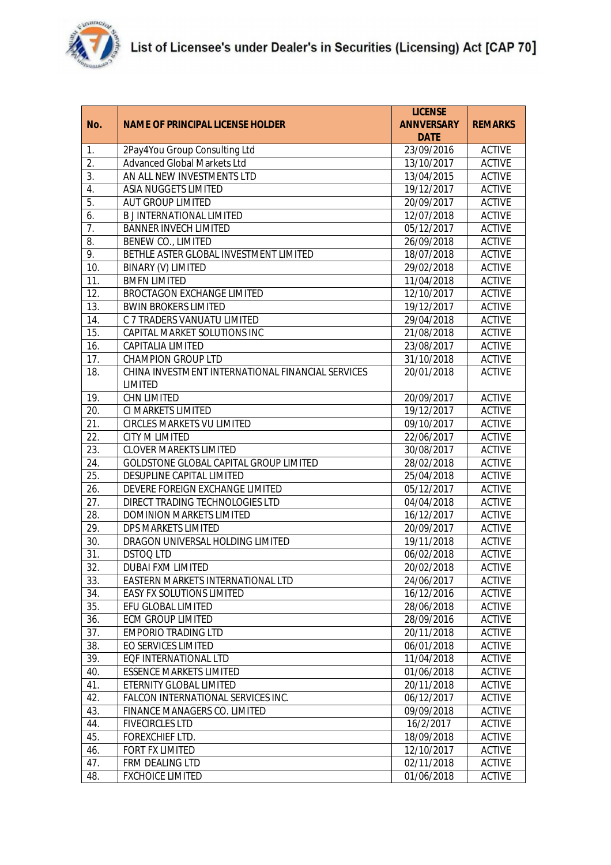

|     |                                                                     | <b>LICENSE</b>    |                |
|-----|---------------------------------------------------------------------|-------------------|----------------|
| No. | <b>NAME OF PRINCIPAL LICENSE HOLDER</b>                             | <b>ANNVERSARY</b> | <b>REMARKS</b> |
|     |                                                                     | <b>DATE</b>       |                |
| 1.  | 2Pay4You Group Consulting Ltd                                       | 23/09/2016        | <b>ACTIVE</b>  |
| 2.  | <b>Advanced Global Markets Ltd</b>                                  | 13/10/2017        | <b>ACTIVE</b>  |
| 3.  | AN ALL NEW INVESTMENTS LTD                                          | 13/04/2015        | <b>ACTIVE</b>  |
| 4.  | ASIA NUGGETS LIMITED                                                | 19/12/2017        | <b>ACTIVE</b>  |
| 5.  | <b>AUT GROUP LIMITED</b>                                            | 20/09/2017        | <b>ACTIVE</b>  |
| 6.  | <b>B JINTERNATIONAL LIMITED</b>                                     | 12/07/2018        | <b>ACTIVE</b>  |
| 7.  | <b>BANNER INVECH LIMITED</b>                                        | 05/12/2017        | <b>ACTIVE</b>  |
| 8.  | <b>BENEW CO., LIMITED</b>                                           | 26/09/2018        | <b>ACTIVE</b>  |
| 9.  | BETHLE ASTER GLOBAL INVESTMENT LIMITED                              | 18/07/2018        | <b>ACTIVE</b>  |
| 10. | BINARY (V) LIMITED                                                  | 29/02/2018        | <b>ACTIVE</b>  |
| 11. | <b>BMFN LIMITED</b>                                                 | 11/04/2018        | <b>ACTIVE</b>  |
| 12. | <b>BROCTAGON EXCHANGE LIMITED</b>                                   | 12/10/2017        | <b>ACTIVE</b>  |
| 13. | <b>BWIN BROKERS LIMITED</b>                                         | 19/12/2017        | <b>ACTIVE</b>  |
| 14. | C 7 TRADERS VANUATU LIMITED                                         | 29/04/2018        | <b>ACTIVE</b>  |
| 15. | CAPITAL MARKET SOLUTIONS INC                                        | 21/08/2018        | <b>ACTIVE</b>  |
| 16. | CAPITALIA LIMITED                                                   | 23/08/2017        | <b>ACTIVE</b>  |
| 17. | <b>CHAMPION GROUP LTD</b>                                           | 31/10/2018        | <b>ACTIVE</b>  |
| 18. | CHINA INVESTMENT INTERNATIONAL FINANCIAL SERVICES<br><b>LIMITED</b> | 20/01/2018        | <b>ACTIVE</b>  |
| 19. | <b>CHN LIMITED</b>                                                  | 20/09/2017        | <b>ACTIVE</b>  |
| 20. | CI MARKETS LIMITED                                                  | 19/12/2017        | <b>ACTIVE</b>  |
| 21. | <b>CIRCLES MARKETS VU LIMITED</b>                                   | 09/10/2017        | <b>ACTIVE</b>  |
| 22. | CITY M LIMITED                                                      | 22/06/2017        | <b>ACTIVE</b>  |
| 23. | <b>CLOVER MAREKTS LIMITED</b>                                       | 30/08/2017        | <b>ACTIVE</b>  |
| 24. | GOLDSTONE GLOBAL CAPITAL GROUP LIMITED                              | 28/02/2018        | <b>ACTIVE</b>  |
| 25. | DESUPLINE CAPITAL LIMITED                                           | 25/04/2018        | <b>ACTIVE</b>  |
| 26. | DEVERE FOREIGN EXCHANGE LIMITED                                     | 05/12/2017        | <b>ACTIVE</b>  |
| 27. | DIRECT TRADING TECHNOLOGIES LTD                                     | 04/04/2018        | <b>ACTIVE</b>  |
| 28. | <b>DOMINION MARKETS LIMITED</b>                                     | 16/12/2017        | <b>ACTIVE</b>  |
| 29. | DPS MARKETS LIMITED                                                 | 20/09/2017        | <b>ACTIVE</b>  |
| 30. | DRAGON UNIVERSAL HOLDING LIMITED                                    | 19/11/2018        | <b>ACTIVE</b>  |
| 31. | DSTOQ LTD                                                           | 06/02/2018        | <b>ACTIVE</b>  |
| 32. | <b>DUBAI FXM LIMITED</b>                                            | 20/02/2018        | <b>ACTIVE</b>  |
| 33. | EASTERN MARKETS INTERNATIONAL LTD                                   | 24/06/2017        | <b>ACTIVE</b>  |
| 34. | <b>EASY FX SOLUTIONS LIMITED</b>                                    | 16/12/2016        | <b>ACTIVE</b>  |
| 35. | EFU GLOBAL LIMITED                                                  | 28/06/2018        | <b>ACTIVE</b>  |
| 36. | <b>ECM GROUP LIMITED</b>                                            | 28/09/2016        | <b>ACTIVE</b>  |
| 37. | <b>EMPORIO TRADING LTD</b>                                          | 20/11/2018        | <b>ACTIVE</b>  |
| 38. | EO SERVICES LIMITED                                                 | 06/01/2018        | <b>ACTIVE</b>  |
| 39. | EQF INTERNATIONAL LTD                                               | 11/04/2018        | <b>ACTIVE</b>  |
| 40. | <b>ESSENCE MARKETS LIMITED</b>                                      | 01/06/2018        | <b>ACTIVE</b>  |
| 41. | ETERNITY GLOBAL LIMITED                                             | 20/11/2018        | <b>ACTIVE</b>  |
| 42. | <b>FALCON INTERNATIONAL SERVICES INC.</b>                           | 06/12/2017        | <b>ACTIVE</b>  |
| 43. | FINANCE MANAGERS CO. LIMITED                                        | 09/09/2018        | <b>ACTIVE</b>  |
| 44. | <b>FIVECIRCLES LTD</b>                                              | 16/2/2017         | <b>ACTIVE</b>  |
| 45. | FOREXCHIEF LTD.                                                     | 18/09/2018        | <b>ACTIVE</b>  |
| 46. | <b>FORT FX LIMITED</b>                                              | 12/10/2017        | <b>ACTIVE</b>  |
| 47. | FRM DEALING LTD                                                     | 02/11/2018        | <b>ACTIVE</b>  |
| 48. | <b>FXCHOICE LIMITED</b>                                             | 01/06/2018        | <b>ACTIVE</b>  |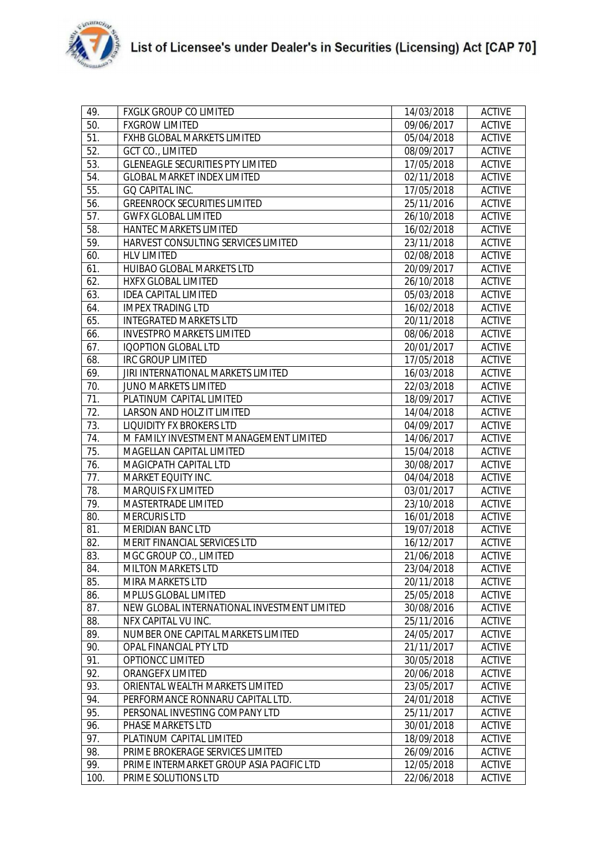

| 49.  | <b>FXGLK GROUP CO LIMITED</b>               | 14/03/2018 | <b>ACTIVE</b> |
|------|---------------------------------------------|------------|---------------|
| 50.  | <b>FXGROW LIMITED</b>                       | 09/06/2017 | <b>ACTIVE</b> |
| 51.  | FXHB GLOBAL MARKETS LIMITED                 | 05/04/2018 | <b>ACTIVE</b> |
| 52.  | GCT CO., LIMITED                            | 08/09/2017 | <b>ACTIVE</b> |
| 53.  | <b>GLENEAGLE SECURITIES PTY LIMITED</b>     | 17/05/2018 | <b>ACTIVE</b> |
| 54.  | <b>GLOBAL MARKET INDEX LIMITED</b>          | 02/11/2018 | <b>ACTIVE</b> |
| 55.  | GQ CAPITAL INC.                             | 17/05/2018 | <b>ACTIVE</b> |
| 56.  | <b>GREENROCK SECURITIES LIMITED</b>         | 25/11/2016 | <b>ACTIVE</b> |
| 57.  | <b>GWFX GLOBAL LIMITED</b>                  | 26/10/2018 | <b>ACTIVE</b> |
| 58.  | HANTEC MARKETS LIMITED                      | 16/02/2018 | <b>ACTIVE</b> |
| 59.  | HARVEST CONSULTING SERVICES LIMITED         | 23/11/2018 | <b>ACTIVE</b> |
| 60.  | <b>HLV LIMITED</b>                          | 02/08/2018 | <b>ACTIVE</b> |
| 61.  | HUIBAO GLOBAL MARKETS LTD                   | 20/09/2017 | <b>ACTIVE</b> |
| 62.  | HXFX GLOBAL LIMITED                         | 26/10/2018 | <b>ACTIVE</b> |
| 63.  | <b>IDEA CAPITAL LIMITED</b>                 | 05/03/2018 | <b>ACTIVE</b> |
| 64.  | <b>IMPEX TRADING LTD</b>                    | 16/02/2018 | <b>ACTIVE</b> |
| 65.  | <b>INTEGRATED MARKETS LTD</b>               | 20/11/2018 | <b>ACTIVE</b> |
| 66.  | <b>INVESTPRO MARKETS LIMITED</b>            | 08/06/2018 | <b>ACTIVE</b> |
| 67.  | <b>IQOPTION GLOBAL LTD</b>                  | 20/01/2017 | <b>ACTIVE</b> |
| 68.  | IRC GROUP LIMITED                           | 17/05/2018 | <b>ACTIVE</b> |
| 69.  | JIRI INTERNATIONAL MARKETS LIMITED          | 16/03/2018 | <b>ACTIVE</b> |
| 70.  | <b>JUNO MARKETS LIMITED</b>                 | 22/03/2018 | <b>ACTIVE</b> |
| 71.  | PLATINUM CAPITAL LIMITED                    | 18/09/2017 | <b>ACTIVE</b> |
| 72.  | LARSON AND HOLZ IT LIMITED                  | 14/04/2018 | <b>ACTIVE</b> |
| 73.  | <b>LIQUIDITY FX BROKERS LTD</b>             | 04/09/2017 | <b>ACTIVE</b> |
| 74.  | M FAMILY INVESTMENT MANAGEMENT LIMITED      | 14/06/2017 | <b>ACTIVE</b> |
| 75.  | MAGELLAN CAPITAL LIMITED                    | 15/04/2018 | <b>ACTIVE</b> |
| 76.  | MAGICPATH CAPITAL LTD                       | 30/08/2017 | <b>ACTIVE</b> |
| 77.  | MARKET EQUITY INC.                          | 04/04/2018 | <b>ACTIVE</b> |
| 78.  | <b>MARQUIS FX LIMITED</b>                   | 03/01/2017 | <b>ACTIVE</b> |
| 79.  | <b>MASTERTRADE LIMITED</b>                  | 23/10/2018 | <b>ACTIVE</b> |
| 80.  | <b>MERCURIS LTD</b>                         | 16/01/2018 | <b>ACTIVE</b> |
| 81.  | <b>MERIDIAN BANC LTD</b>                    | 19/07/2018 | <b>ACTIVE</b> |
| 82.  | MERIT FINANCIAL SERVICES LTD                | 16/12/2017 | <b>ACTIVE</b> |
| 83.  | MGC GROUP CO., LIMITED                      | 21/06/2018 | <b>ACTIVE</b> |
| 84.  | MILTON MARKETS LTD                          | 23/04/2018 | <b>ACTIVE</b> |
| 85.  | MIRA MARKETS LTD                            | 20/11/2018 | <b>ACTIVE</b> |
| 86.  | MPLUS GLOBAL LIMITED                        | 25/05/2018 | <b>ACTIVE</b> |
| 87.  | NEW GLOBAL INTERNATIONAL INVESTMENT LIMITED | 30/08/2016 | <b>ACTIVE</b> |
| 88.  | NFX CAPITAL VU INC.                         | 25/11/2016 | <b>ACTIVE</b> |
| 89.  | NUMBER ONE CAPITAL MARKETS LIMITED          | 24/05/2017 | <b>ACTIVE</b> |
| 90.  | OPAL FINANCIAL PTY LTD                      | 21/11/2017 | <b>ACTIVE</b> |
| 91.  | <b>OPTIONCC LIMITED</b>                     | 30/05/2018 | <b>ACTIVE</b> |
| 92.  | <b>ORANGEFX LIMITED</b>                     | 20/06/2018 | <b>ACTIVE</b> |
| 93.  | ORIENTAL WEALTH MARKETS LIMITED             | 23/05/2017 | <b>ACTIVE</b> |
| 94.  | PERFORMANCE RONNARU CAPITAL LTD.            | 24/01/2018 | <b>ACTIVE</b> |
| 95.  | PERSONAL INVESTING COMPANY LTD              | 25/11/2017 | <b>ACTIVE</b> |
| 96.  | PHASE MARKETS LTD                           | 30/01/2018 | <b>ACTIVE</b> |
| 97.  | PLATINUM CAPITAL LIMITED                    | 18/09/2018 | <b>ACTIVE</b> |
| 98.  | PRIME BROKERAGE SERVICES LIMITED            | 26/09/2016 | <b>ACTIVE</b> |
| 99.  | PRIME INTERMARKET GROUP ASIA PACIFIC LTD    | 12/05/2018 | <b>ACTIVE</b> |
| 100. | PRIME SOLUTIONS LTD                         | 22/06/2018 | <b>ACTIVE</b> |